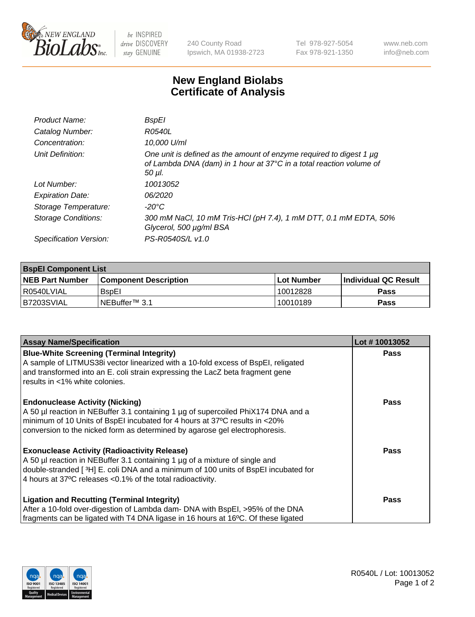

be INSPIRED drive DISCOVERY stay GENUINE

240 County Road Ipswich, MA 01938-2723 Tel 978-927-5054 Fax 978-921-1350 www.neb.com info@neb.com

## **New England Biolabs Certificate of Analysis**

| <b>BspEl</b>                                                                                                                                         |
|------------------------------------------------------------------------------------------------------------------------------------------------------|
| R0540L                                                                                                                                               |
| 10,000 U/ml                                                                                                                                          |
| One unit is defined as the amount of enzyme required to digest 1 µg<br>of Lambda DNA (dam) in 1 hour at 37°C in a total reaction volume of<br>50 µI. |
| 10013052                                                                                                                                             |
| 06/2020                                                                                                                                              |
| $-20^{\circ}$ C                                                                                                                                      |
| 300 mM NaCl, 10 mM Tris-HCl (pH 7.4), 1 mM DTT, 0.1 mM EDTA, 50%<br>Glycerol, 500 µg/ml BSA                                                          |
| PS-R0540S/L v1.0                                                                                                                                     |
|                                                                                                                                                      |

| <b>BspEl Component List</b> |                              |             |                       |  |  |
|-----------------------------|------------------------------|-------------|-----------------------|--|--|
| <b>NEB Part Number</b>      | <b>Component Description</b> | ⊺Lot Number | ∣Individual QC Result |  |  |
| R0540LVIAL                  | <b>B</b> spEI                | 10012828    | <b>Pass</b>           |  |  |
| I B7203SVIAL                | INEBuffer™ 3.1               | 10010189    | <b>Pass</b>           |  |  |

| <b>Assay Name/Specification</b>                                                    | Lot #10013052 |
|------------------------------------------------------------------------------------|---------------|
| <b>Blue-White Screening (Terminal Integrity)</b>                                   | <b>Pass</b>   |
| A sample of LITMUS38i vector linearized with a 10-fold excess of BspEI, religated  |               |
| and transformed into an E. coli strain expressing the LacZ beta fragment gene      |               |
| results in <1% white colonies.                                                     |               |
| <b>Endonuclease Activity (Nicking)</b>                                             | <b>Pass</b>   |
| A 50 µl reaction in NEBuffer 3.1 containing 1 µg of supercoiled PhiX174 DNA and a  |               |
| minimum of 10 Units of BspEI incubated for 4 hours at 37°C results in <20%         |               |
| conversion to the nicked form as determined by agarose gel electrophoresis.        |               |
| <b>Exonuclease Activity (Radioactivity Release)</b>                                | Pass          |
| A 50 µl reaction in NEBuffer 3.1 containing 1 µg of a mixture of single and        |               |
| double-stranded [3H] E. coli DNA and a minimum of 100 units of BspEI incubated for |               |
| 4 hours at 37°C releases < 0.1% of the total radioactivity.                        |               |
| <b>Ligation and Recutting (Terminal Integrity)</b>                                 | <b>Pass</b>   |
| After a 10-fold over-digestion of Lambda dam- DNA with BspEI, >95% of the DNA      |               |
| fragments can be ligated with T4 DNA ligase in 16 hours at 16°C. Of these ligated  |               |